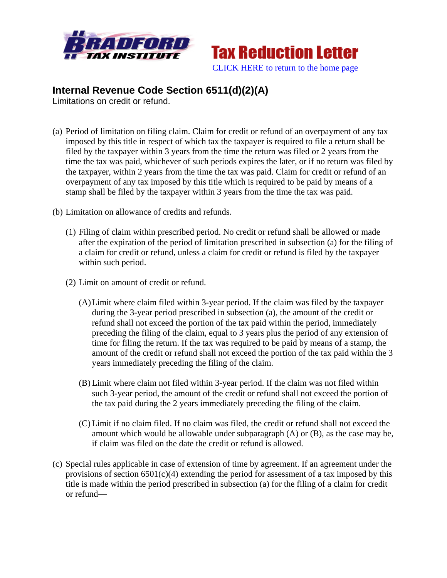



## **Internal Revenue Code Section 6511(d)(2)(A)**

Limitations on credit or refund.

- (a) Period of limitation on filing claim. Claim for credit or refund of an overpayment of any tax imposed by this title in respect of which tax the taxpayer is required to file a return shall be filed by the taxpayer within 3 years from the time the return was filed or 2 years from the time the tax was paid, whichever of such periods expires the later, or if no return was filed by the taxpayer, within 2 years from the time the tax was paid. Claim for credit or refund of an overpayment of any tax imposed by this title which is required to be paid by means of a stamp shall be filed by the taxpayer within 3 years from the time the tax was paid.
- (b) Limitation on allowance of credits and refunds.
	- (1) Filing of claim within prescribed period. No credit or refund shall be allowed or made after the expiration of the period of limitation prescribed in subsection (a) for the filing of a claim for credit or refund, unless a claim for credit or refund is filed by the taxpayer within such period.
	- (2) Limit on amount of credit or refund.
		- (A)Limit where claim filed within 3-year period. If the claim was filed by the taxpayer during the 3-year period prescribed in subsection (a), the amount of the credit or refund shall not exceed the portion of the tax paid within the period, immediately preceding the filing of the claim, equal to 3 years plus the period of any extension of time for filing the return. If the tax was required to be paid by means of a stamp, the amount of the credit or refund shall not exceed the portion of the tax paid within the 3 years immediately preceding the filing of the claim.
		- (B) Limit where claim not filed within 3-year period. If the claim was not filed within such 3-year period, the amount of the credit or refund shall not exceed the portion of the tax paid during the 2 years immediately preceding the filing of the claim.
		- (C) Limit if no claim filed. If no claim was filed, the credit or refund shall not exceed the amount which would be allowable under subparagraph (A) or (B), as the case may be, if claim was filed on the date the credit or refund is allowed.
- (c) Special rules applicable in case of extension of time by agreement. If an agreement under the provisions of section  $6501(c)(4)$  extending the period for assessment of a tax imposed by this title is made within the period prescribed in subsection (a) for the filing of a claim for credit or refund—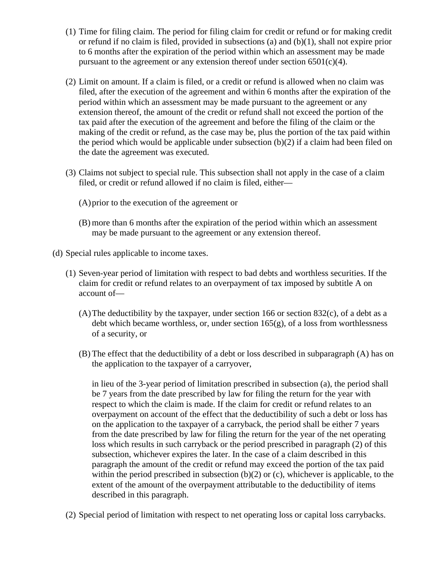- (1) Time for filing claim. The period for filing claim for credit or refund or for making credit or refund if no claim is filed, provided in subsections (a) and  $(b)(1)$ , shall not expire prior to 6 months after the expiration of the period within which an assessment may be made pursuant to the agreement or any extension thereof under section  $6501(c)(4)$ .
- (2) Limit on amount. If a claim is filed, or a credit or refund is allowed when no claim was filed, after the execution of the agreement and within 6 months after the expiration of the period within which an assessment may be made pursuant to the agreement or any extension thereof, the amount of the credit or refund shall not exceed the portion of the tax paid after the execution of the agreement and before the filing of the claim or the making of the credit or refund, as the case may be, plus the portion of the tax paid within the period which would be applicable under subsection (b)(2) if a claim had been filed on the date the agreement was executed.
- (3) Claims not subject to special rule. This subsection shall not apply in the case of a claim filed, or credit or refund allowed if no claim is filed, either—
	- (A)prior to the execution of the agreement or
	- (B) more than 6 months after the expiration of the period within which an assessment may be made pursuant to the agreement or any extension thereof.
- (d) Special rules applicable to income taxes.
	- (1) Seven-year period of limitation with respect to bad debts and worthless securities. If the claim for credit or refund relates to an overpayment of tax imposed by subtitle A on account of—
		- (A)The deductibility by the taxpayer, under section 166 or section 832(c), of a debt as a debt which became worthless, or, under section  $165(g)$ , of a loss from worthlessness of a security, or
		- (B) The effect that the deductibility of a debt or loss described in subparagraph (A) has on the application to the taxpayer of a carryover,

in lieu of the 3-year period of limitation prescribed in subsection (a), the period shall be 7 years from the date prescribed by law for filing the return for the year with respect to which the claim is made. If the claim for credit or refund relates to an overpayment on account of the effect that the deductibility of such a debt or loss has on the application to the taxpayer of a carryback, the period shall be either 7 years from the date prescribed by law for filing the return for the year of the net operating loss which results in such carryback or the period prescribed in paragraph (2) of this subsection, whichever expires the later. In the case of a claim described in this paragraph the amount of the credit or refund may exceed the portion of the tax paid within the period prescribed in subsection  $(b)(2)$  or  $(c)$ , whichever is applicable, to the extent of the amount of the overpayment attributable to the deductibility of items described in this paragraph.

(2) Special period of limitation with respect to net operating loss or capital loss carrybacks.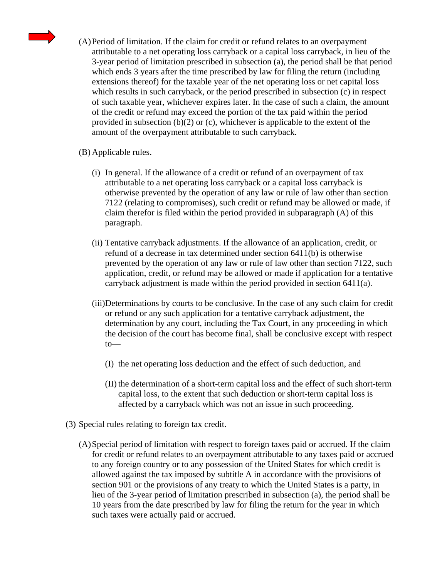

(A)Period of limitation. If the claim for credit or refund relates to an overpayment attributable to a net operating loss carryback or a capital loss carryback, in lieu of the 3-year period of limitation prescribed in subsection (a), the period shall be that period which ends 3 years after the time prescribed by law for filing the return (including extensions thereof) for the taxable year of the net operating loss or net capital loss which results in such carryback, or the period prescribed in subsection (c) in respect of such taxable year, whichever expires later. In the case of such a claim, the amount of the credit or refund may exceed the portion of the tax paid within the period provided in subsection  $(b)(2)$  or  $(c)$ , whichever is applicable to the extent of the amount of the overpayment attributable to such carryback.

## (B) Applicable rules.

- (i) In general. If the allowance of a credit or refund of an overpayment of tax attributable to a net operating loss carryback or a capital loss carryback is otherwise prevented by the operation of any law or rule of law other than section 7122 (relating to compromises), such credit or refund may be allowed or made, if claim therefor is filed within the period provided in subparagraph (A) of this paragraph.
- (ii) Tentative carryback adjustments. If the allowance of an application, credit, or refund of a decrease in tax determined under section 6411(b) is otherwise prevented by the operation of any law or rule of law other than section 7122, such application, credit, or refund may be allowed or made if application for a tentative carryback adjustment is made within the period provided in section 6411(a).
- (iii)Determinations by courts to be conclusive. In the case of any such claim for credit or refund or any such application for a tentative carryback adjustment, the determination by any court, including the Tax Court, in any proceeding in which the decision of the court has become final, shall be conclusive except with respect to—
	- (I) the net operating loss deduction and the effect of such deduction, and
	- (II) the determination of a short-term capital loss and the effect of such short-term capital loss, to the extent that such deduction or short-term capital loss is affected by a carryback which was not an issue in such proceeding.
- (3) Special rules relating to foreign tax credit.
	- (A)Special period of limitation with respect to foreign taxes paid or accrued. If the claim for credit or refund relates to an overpayment attributable to any taxes paid or accrued to any foreign country or to any possession of the United States for which credit is allowed against the tax imposed by subtitle A in accordance with the provisions of section 901 or the provisions of any treaty to which the United States is a party, in lieu of the 3-year period of limitation prescribed in subsection (a), the period shall be 10 years from the date prescribed by law for filing the return for the year in which such taxes were actually paid or accrued.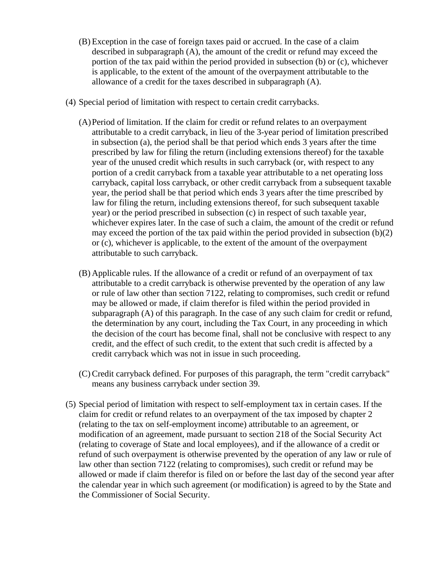- (B) Exception in the case of foreign taxes paid or accrued. In the case of a claim described in subparagraph (A), the amount of the credit or refund may exceed the portion of the tax paid within the period provided in subsection (b) or (c), whichever is applicable, to the extent of the amount of the overpayment attributable to the allowance of a credit for the taxes described in subparagraph (A).
- (4) Special period of limitation with respect to certain credit carrybacks.
	- (A)Period of limitation. If the claim for credit or refund relates to an overpayment attributable to a credit carryback, in lieu of the 3-year period of limitation prescribed in subsection (a), the period shall be that period which ends 3 years after the time prescribed by law for filing the return (including extensions thereof) for the taxable year of the unused credit which results in such carryback (or, with respect to any portion of a credit carryback from a taxable year attributable to a net operating loss carryback, capital loss carryback, or other credit carryback from a subsequent taxable year, the period shall be that period which ends 3 years after the time prescribed by law for filing the return, including extensions thereof, for such subsequent taxable year) or the period prescribed in subsection (c) in respect of such taxable year, whichever expires later. In the case of such a claim, the amount of the credit or refund may exceed the portion of the tax paid within the period provided in subsection (b)(2) or (c), whichever is applicable, to the extent of the amount of the overpayment attributable to such carryback.
	- (B) Applicable rules. If the allowance of a credit or refund of an overpayment of tax attributable to a credit carryback is otherwise prevented by the operation of any law or rule of law other than section 7122, relating to compromises, such credit or refund may be allowed or made, if claim therefor is filed within the period provided in subparagraph (A) of this paragraph. In the case of any such claim for credit or refund, the determination by any court, including the Tax Court, in any proceeding in which the decision of the court has become final, shall not be conclusive with respect to any credit, and the effect of such credit, to the extent that such credit is affected by a credit carryback which was not in issue in such proceeding.
	- (C) Credit carryback defined. For purposes of this paragraph, the term "credit carryback" means any business carryback under section 39.
- (5) Special period of limitation with respect to self-employment tax in certain cases. If the claim for credit or refund relates to an overpayment of the tax imposed by chapter 2 (relating to the tax on self-employment income) attributable to an agreement, or modification of an agreement, made pursuant to section 218 of the Social Security Act (relating to coverage of State and local employees), and if the allowance of a credit or refund of such overpayment is otherwise prevented by the operation of any law or rule of law other than section 7122 (relating to compromises), such credit or refund may be allowed or made if claim therefor is filed on or before the last day of the second year after the calendar year in which such agreement (or modification) is agreed to by the State and the Commissioner of Social Security.